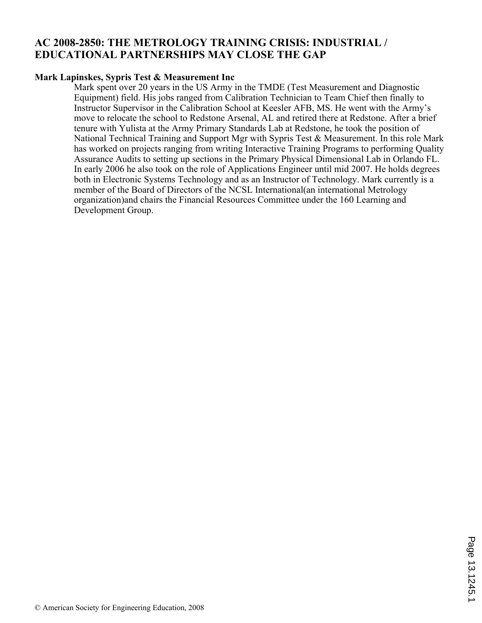# **AC 2008-2850: THE METROLOGY TRAINING CRISIS: INDUSTRIAL / EDUCATIONAL PARTNERSHIPS MAY CLOSE THE GAP**

#### **Mark Lapinskes, Sypris Test & Measurement Inc**

Mark spent over 20 years in the US Army in the TMDE (Test Measurement and Diagnostic Equipment) field. His jobs ranged from Calibration Technician to Team Chief then finally to Instructor Supervisor in the Calibration School at Keesler AFB, MS. He went with the Army's move to relocate the school to Redstone Arsenal, AL and retired there at Redstone. After a brief tenure with Yulista at the Army Primary Standards Lab at Redstone, he took the position of National Technical Training and Support Mgr with Sypris Test & Measurement. In this role Mark has worked on projects ranging from writing Interactive Training Programs to performing Quality Assurance Audits to setting up sections in the Primary Physical Dimensional Lab in Orlando FL. In early 2006 he also took on the role of Applications Engineer until mid 2007. He holds degrees both in Electronic Systems Technology and as an Instructor of Technology. Mark currently is a member of the Board of Directors of the NCSL International(an international Metrology organization)and chairs the Financial Resources Committee under the 160 Learning and Development Group.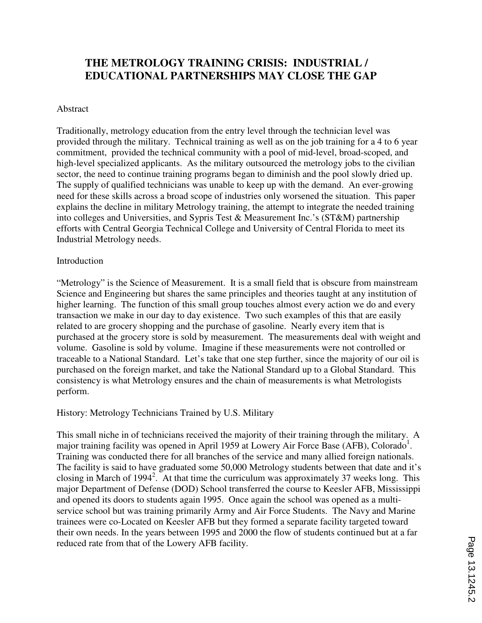# **THE METROLOGY TRAINING CRISIS: INDUSTRIAL / EDUCATIONAL PARTNERSHIPS MAY CLOSE THE GAP**

#### Abstract

Traditionally, metrology education from the entry level through the technician level was provided through the military. Technical training as well as on the job training for a 4 to 6 year commitment, provided the technical community with a pool of mid-level, broad-scoped, and high-level specialized applicants. As the military outsourced the metrology jobs to the civilian sector, the need to continue training programs began to diminish and the pool slowly dried up. The supply of qualified technicians was unable to keep up with the demand. An ever-growing need for these skills across a broad scope of industries only worsened the situation. This paper explains the decline in military Metrology training, the attempt to integrate the needed training into colleges and Universities, and Sypris Test & Measurement Inc.'s (ST&M) partnership efforts with Central Georgia Technical College and University of Central Florida to meet its Industrial Metrology needs.

#### Introduction

"Metrology" is the Science of Measurement. It is a small field that is obscure from mainstream Science and Engineering but shares the same principles and theories taught at any institution of higher learning. The function of this small group touches almost every action we do and every transaction we make in our day to day existence. Two such examples of this that are easily related to are grocery shopping and the purchase of gasoline. Nearly every item that is purchased at the grocery store is sold by measurement. The measurements deal with weight and volume. Gasoline is sold by volume. Imagine if these measurements were not controlled or traceable to a National Standard. Let's take that one step further, since the majority of our oil is purchased on the foreign market, and take the National Standard up to a Global Standard. This consistency is what Metrology ensures and the chain of measurements is what Metrologists perform.

#### History: Metrology Technicians Trained by U.S. Military

This small niche in of technicians received the majority of their training through the military. A major training facility was opened in April 1959 at Lowery Air Force Base (AFB), Colorado<sup>1</sup>. Training was conducted there for all branches of the service and many allied foreign nationals. The facility is said to have graduated some 50,000 Metrology students between that date and it's closing in March of 1994<sup>2</sup>. At that time the curriculum was approximately 37 weeks long. This major Department of Defense (DOD) School transferred the course to Keesler AFB, Mississippi and opened its doors to students again 1995. Once again the school was opened as a multiservice school but was training primarily Army and Air Force Students. The Navy and Marine trainees were co-Located on Keesler AFB but they formed a separate facility targeted toward their own needs. In the years between 1995 and 2000 the flow of students continued but at a far reduced rate from that of the Lowery AFB facility.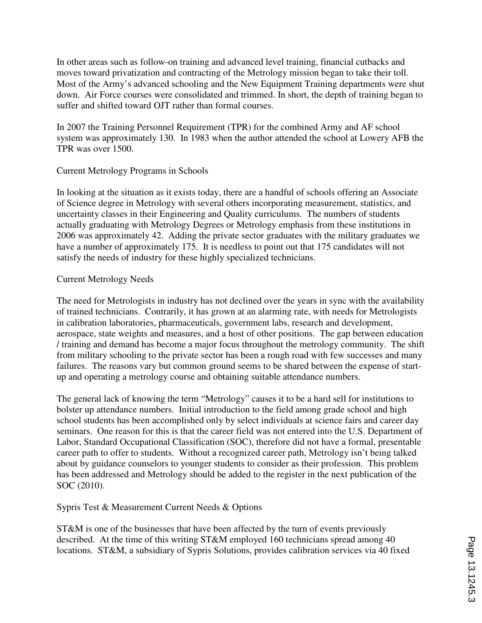In other areas such as follow-on training and advanced level training, financial cutbacks and moves toward privatization and contracting of the Metrology mission began to take their toll. Most of the Army's advanced schooling and the New Equipment Training departments were shut down. Air Force courses were consolidated and trimmed. In short, the depth of training began to suffer and shifted toward OJT rather than formal courses.

In 2007 the Training Personnel Requirement (TPR) for the combined Army and AF school system was approximately 130. In 1983 when the author attended the school at Lowery AFB the TPR was over 1500.

#### Current Metrology Programs in Schools

In looking at the situation as it exists today, there are a handful of schools offering an Associate of Science degree in Metrology with several others incorporating measurement, statistics, and uncertainty classes in their Engineering and Quality curriculums. The numbers of students actually graduating with Metrology Degrees or Metrology emphasis from these institutions in 2006 was approximately 42. Adding the private sector graduates with the military graduates we have a number of approximately 175. It is needless to point out that 175 candidates will not satisfy the needs of industry for these highly specialized technicians.

#### Current Metrology Needs

The need for Metrologists in industry has not declined over the years in sync with the availability of trained technicians. Contrarily, it has grown at an alarming rate, with needs for Metrologists in calibration laboratories, pharmaceuticals, government labs, research and development, aerospace, state weights and measures, and a host of other positions. The gap between education / training and demand has become a major focus throughout the metrology community. The shift from military schooling to the private sector has been a rough road with few successes and many failures. The reasons vary but common ground seems to be shared between the expense of startup and operating a metrology course and obtaining suitable attendance numbers.

The general lack of knowing the term "Metrology" causes it to be a hard sell for institutions to bolster up attendance numbers. Initial introduction to the field among grade school and high school students has been accomplished only by select individuals at science fairs and career day seminars. One reason for this is that the career field was not entered into the U.S. Department of Labor, Standard Occupational Classification (SOC), therefore did not have a formal, presentable career path to offer to students. Without a recognized career path, Metrology isn't being talked about by guidance counselors to younger students to consider as their profession. This problem has been addressed and Metrology should be added to the register in the next publication of the SOC (2010).

Sypris Test & Measurement Current Needs & Options

ST&M is one of the businesses that have been affected by the turn of events previously described. At the time of this writing ST&M employed 160 technicians spread among 40 locations. ST&M, a subsidiary of Sypris Solutions, provides calibration services via 40 fixed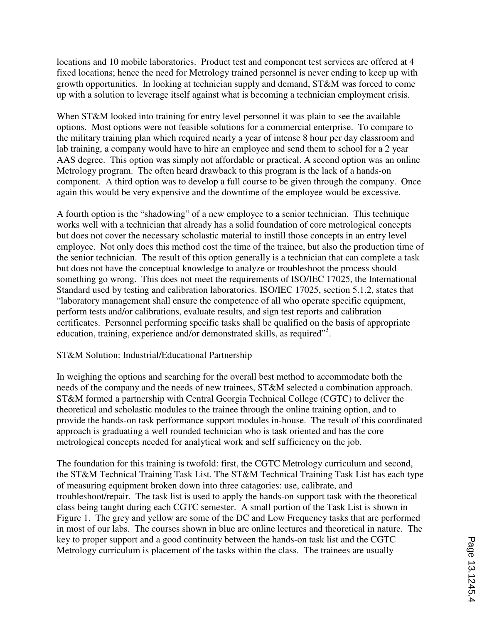locations and 10 mobile laboratories. Product test and component test services are offered at 4 fixed locations; hence the need for Metrology trained personnel is never ending to keep up with growth opportunities. In looking at technician supply and demand, ST&M was forced to come up with a solution to leverage itself against what is becoming a technician employment crisis.

When ST&M looked into training for entry level personnel it was plain to see the available options. Most options were not feasible solutions for a commercial enterprise. To compare to the military training plan which required nearly a year of intense 8 hour per day classroom and lab training, a company would have to hire an employee and send them to school for a 2 year AAS degree. This option was simply not affordable or practical. A second option was an online Metrology program. The often heard drawback to this program is the lack of a hands-on component. A third option was to develop a full course to be given through the company. Once again this would be very expensive and the downtime of the employee would be excessive.

A fourth option is the "shadowing" of a new employee to a senior technician. This technique works well with a technician that already has a solid foundation of core metrological concepts but does not cover the necessary scholastic material to instill those concepts in an entry level employee. Not only does this method cost the time of the trainee, but also the production time of the senior technician. The result of this option generally is a technician that can complete a task but does not have the conceptual knowledge to analyze or troubleshoot the process should something go wrong. This does not meet the requirements of ISO/IEC 17025, the International Standard used by testing and calibration laboratories. ISO/IEC 17025, section 5.1.2, states that "laboratory management shall ensure the competence of all who operate specific equipment, perform tests and/or calibrations, evaluate results, and sign test reports and calibration certificates. Personnel performing specific tasks shall be qualified on the basis of appropriate education, training, experience and/or demonstrated skills, as required"<sup>3</sup>.

#### ST&M Solution: Industrial/Educational Partnership

In weighing the options and searching for the overall best method to accommodate both the needs of the company and the needs of new trainees, ST&M selected a combination approach. ST&M formed a partnership with Central Georgia Technical College (CGTC) to deliver the theoretical and scholastic modules to the trainee through the online training option, and to provide the hands-on task performance support modules in-house. The result of this coordinated approach is graduating a well rounded technician who is task oriented and has the core metrological concepts needed for analytical work and self sufficiency on the job.

The foundation for this training is twofold: first, the CGTC Metrology curriculum and second, the ST&M Technical Training Task List. The ST&M Technical Training Task List has each type of measuring equipment broken down into three catagories: use, calibrate, and troubleshoot/repair. The task list is used to apply the hands-on support task with the theoretical class being taught during each CGTC semester. A small portion of the Task List is shown in Figure 1. The grey and yellow are some of the DC and Low Frequency tasks that are performed in most of our labs. The courses shown in blue are online lectures and theoretical in nature. The key to proper support and a good continuity between the hands-on task list and the CGTC Metrology curriculum is placement of the tasks within the class. The trainees are usually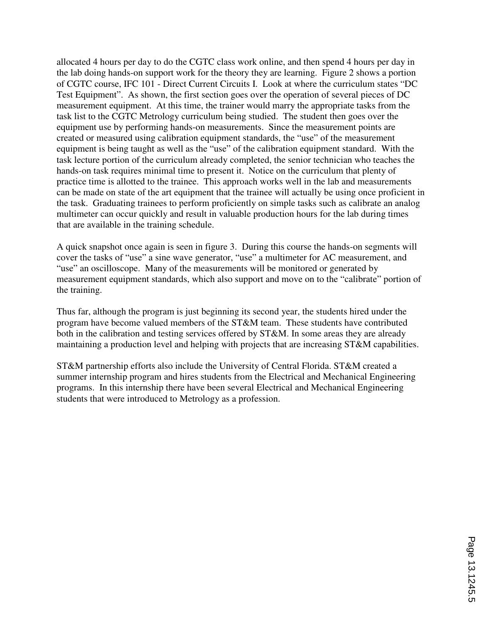allocated 4 hours per day to do the CGTC class work online, and then spend 4 hours per day in the lab doing hands-on support work for the theory they are learning. Figure 2 shows a portion of CGTC course, IFC 101 - Direct Current Circuits I. Look at where the curriculum states "DC Test Equipment". As shown, the first section goes over the operation of several pieces of DC measurement equipment. At this time, the trainer would marry the appropriate tasks from the task list to the CGTC Metrology curriculum being studied. The student then goes over the equipment use by performing hands-on measurements. Since the measurement points are created or measured using calibration equipment standards, the "use" of the measurement equipment is being taught as well as the "use" of the calibration equipment standard. With the task lecture portion of the curriculum already completed, the senior technician who teaches the hands-on task requires minimal time to present it. Notice on the curriculum that plenty of practice time is allotted to the trainee. This approach works well in the lab and measurements can be made on state of the art equipment that the trainee will actually be using once proficient in the task. Graduating trainees to perform proficiently on simple tasks such as calibrate an analog multimeter can occur quickly and result in valuable production hours for the lab during times that are available in the training schedule.

A quick snapshot once again is seen in figure 3. During this course the hands-on segments will cover the tasks of "use" a sine wave generator, "use" a multimeter for AC measurement, and "use" an oscilloscope. Many of the measurements will be monitored or generated by measurement equipment standards, which also support and move on to the "calibrate" portion of the training.

Thus far, although the program is just beginning its second year, the students hired under the program have become valued members of the ST&M team. These students have contributed both in the calibration and testing services offered by ST&M. In some areas they are already maintaining a production level and helping with projects that are increasing ST&M capabilities.

ST&M partnership efforts also include the University of Central Florida. ST&M created a summer internship program and hires students from the Electrical and Mechanical Engineering programs. In this internship there have been several Electrical and Mechanical Engineering students that were introduced to Metrology as a profession.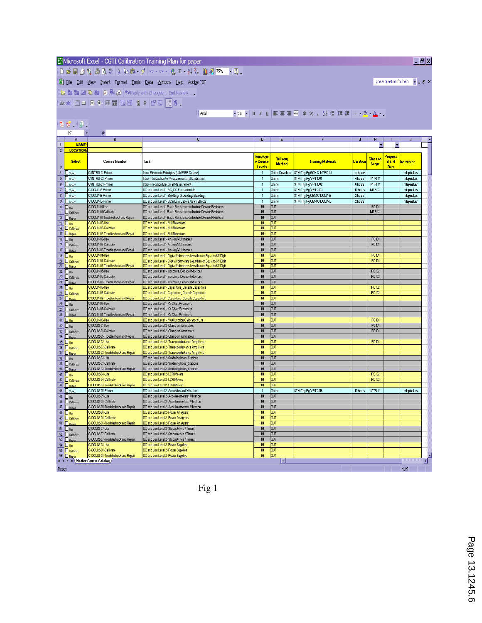### Microsoft Excel - CGTI Calibration Training Plan for paper DCBBBBCVXBC.VO.A.BINAXIQ. [8] File Edit View Insert Format Tools Data Window Help Adobe PDF

 $|$  Arial

位自由26台0mg) YVReply with Changes... End Review...

【2 页、图、

|                                                                                                                                                                           | K1                                                   | $f_x$                                                |                                                                                                                                                  |                                                           |                                  |                           |                 |                                  |                                 |            |
|---------------------------------------------------------------------------------------------------------------------------------------------------------------------------|------------------------------------------------------|------------------------------------------------------|--------------------------------------------------------------------------------------------------------------------------------------------------|-----------------------------------------------------------|----------------------------------|---------------------------|-----------------|----------------------------------|---------------------------------|------------|
|                                                                                                                                                                           | A                                                    | B                                                    | c                                                                                                                                                | D                                                         | E                                |                           | G               | н                                |                                 |            |
| $\mathbf{1}$                                                                                                                                                              | <b>NAME</b>                                          |                                                      |                                                                                                                                                  |                                                           |                                  |                           |                 |                                  | ٠                               |            |
| 2 <sup>2</sup>                                                                                                                                                            | <b>LOCATION</b>                                      |                                                      |                                                                                                                                                  |                                                           |                                  |                           |                 |                                  |                                 |            |
| $\sqrt{3}$                                                                                                                                                                | <b>Select</b>                                        | <b>Course Number</b>                                 | Task                                                                                                                                             | <u>lemploye</u><br><mark>e Course</mark><br><b>Levels</b> | <b>Delivery</b><br><b>Method</b> | <b>Training Materials</b> | <b>Duration</b> | <b>Class to</b><br><b>Suppt</b>  | Propose<br>d End<br><b>Date</b> | Instructor |
|                                                                                                                                                                           | $4$ <b>D</b> select                                  | C-INTRO-01-Primer                                    | Intro-Electronic Principles (USAF EP Course)                                                                                                     | $\mathbf{1}$                                              | Online Download                  | STM Tng Pg GOV C-INTRO-01 | selfpace        |                                  |                                 | mlapinskes |
|                                                                                                                                                                           | $5$ $\Box$ Select                                    | C-INTRO-02-Primer                                    | Intro-Introduction to Measurement and Calibration                                                                                                | $\mathbf{1}$                                              | Online                           | STM Tng Pg VPT 1001       | 4 hours         | MTR111                           |                                 | mlapinskes |
|                                                                                                                                                                           | $6$ $\Box$ Select                                    | C-INTRO-03-Primer                                    | Intro-Precision Electrical Measurement                                                                                                           | $\mathbf{1}$                                              | Online                           | STM Tng Pg VPT 1002       | 6 hours         | MTR <sub>111</sub>               |                                 | mlapinskes |
|                                                                                                                                                                           | $7$ $\Box$ Select                                    | C-DCL01-A-Primer                                     | DC and Low Level 1- AC DC Fundamentals                                                                                                           | $\mathbf{1}$                                              | Online                           | STM Tng Pg WPT 2021       | 10 hours        | MTR131                           |                                 | mlapinskes |
|                                                                                                                                                                           | $8$ $\Box$ Select                                    | C-DCL01-B-Primer                                     | DC and Low Level 1- Shielding, Grounding, Guarding                                                                                               | $\mathbf{1}$                                              | Online                           | STM Tng Pg OEM C-DCL01-B  | 2 hours         |                                  |                                 | mlapinskes |
| $\overline{\mathbf{3}}$                                                                                                                                                   | $\Box$ Select                                        | C-DCL01-C-Primer                                     | DC and Low Level 1- DC n Low; Cables, Use n Effects                                                                                              | $\mathbf{1}$                                              | Online                           | STM Tng Pg OEM C-DCL01-C  | 2 hours         |                                  |                                 | mlapinskes |
| $10$ $\Box$ Use                                                                                                                                                           |                                                      | C-DCL01-01-Use                                       | DC and Low Level 1-Basic Resistance to Include Decade Resistors                                                                                  | 1/4                                                       | <b>OJT</b>                       |                           |                 | <b>IFC 101</b>                   |                                 |            |
| $\mathbf{11}$                                                                                                                                                             | $\square$ Calibrate                                  | C-DCL01-01-Calibrate                                 | DC and Low Level 1-Basic Resistance to Include Decade Resistors                                                                                  | 1/4                                                       | <b>OJT</b>                       |                           |                 | MTR131                           |                                 |            |
| $12$ $\Box$ Rep                                                                                                                                                           |                                                      | C-DCL01-01-Troubleshoot and Repair                   | DC and Low Level 1-Basic Resistance to Include Decade Resistors                                                                                  | 1/4                                                       | <b>OJT</b>                       |                           |                 |                                  |                                 |            |
| $13$ $\overline{\bigcup_{\text{Use}}}$                                                                                                                                    |                                                      | C-DCL01-02-Use                                       | DC and Low Level 1- Null Detectors                                                                                                               | 1/4                                                       | <b>OJT</b>                       |                           |                 |                                  |                                 |            |
|                                                                                                                                                                           | 14 <b>Calibrate</b>                                  | C-DCL01-02-Calibrate                                 | DC and Low Level 1- Null Detectors                                                                                                               | 1/4                                                       | <b>OJT</b>                       |                           |                 |                                  |                                 |            |
| $\frac{15}{16}$ $\frac{\Box \text{ Repi}}{\Box \text{ Use}}$                                                                                                              | 15 $\Box$ Repair                                     | C-DCL01-02-Troubleshoot and Repair                   | DC and Low Level 1- Null Detectors                                                                                                               | $\overline{114}$                                          | <b>OJT</b>                       |                           |                 |                                  |                                 |            |
|                                                                                                                                                                           |                                                      | C-DCL01-03-Use<br>C-DCL01-03-Calibrate               | DC and Low Level 1- Analog Multimeters                                                                                                           | 1/4<br>1/4                                                | <b>OJT</b>                       |                           |                 | <b>IFC 101</b><br><b>IFC 101</b> |                                 |            |
|                                                                                                                                                                           | 17 Calibrate                                         |                                                      | DC and Low Level 1- Analog Multimeters                                                                                                           |                                                           | <b>OJT</b><br>OJT                |                           |                 |                                  |                                 |            |
| 19 <b>D</b> Use                                                                                                                                                           | $18$ $\Box$ Repai                                    | C-DCL01-03-Troubleshoot and Repair<br>C-DCL01-04-Use | DC and Low Level 1- Analog Multimeters                                                                                                           | 1/4<br>1/4                                                | <b>OJT</b>                       |                           |                 | <b>IFC 101</b>                   |                                 |            |
|                                                                                                                                                                           |                                                      | C-DCL01-04-Calibrate                                 | DC and Low Level 1- Digital Voltmeters Less than or Equal to 6.5 Digit<br>DC and Low Level 1- Digital Voltmeters Less than or Equal to 6.5 Digit | 1/4                                                       | <b>OJT</b>                       |                           |                 | <b>IFC 101</b>                   |                                 |            |
|                                                                                                                                                                           | 20 Calibrate                                         | C-DCL01-04-Troubleshoot and Repair                   | DC and Low Level 1- Digital Voltmeters Less than or Equal to 6.5 Digit                                                                           | 1/4                                                       | <b>OJT</b>                       |                           |                 |                                  |                                 |            |
|                                                                                                                                                                           |                                                      | C-DCL01-05-Use                                       | DC and Low Level 1- Inductors, Decade Inductors                                                                                                  | 1/4                                                       | <b>OJT</b>                       |                           |                 | <b>IFC 102</b>                   |                                 |            |
| $\begin{array}{r} 22 \\ 23 \\ \hline 24 \\ \hline 24 \\ \hline \end{array}$                                                                                               | $\Box$ Calibrate                                     | C-DCL01-05-Calibrate                                 | DC and Low Level 1- Inductors, Decade Inductors                                                                                                  | 1/4                                                       | <b>OJT</b>                       |                           |                 | <b>IFC 102</b>                   |                                 |            |
|                                                                                                                                                                           |                                                      | C-DCL01-05-Troubleshoot and Repair                   | DC and Low Level 1- Inductors, Decade Inductors                                                                                                  | 1/4                                                       | OJT                              |                           |                 |                                  |                                 |            |
|                                                                                                                                                                           |                                                      | C-DCL01-06-Use                                       | DC and Low Level 1- Capacitors Decade Capacitors                                                                                                 | 1/4                                                       | <b>OJT</b>                       |                           |                 | <b>IFC 102</b>                   |                                 |            |
|                                                                                                                                                                           |                                                      | C-DCL01-06-Calibrate                                 | DC and Low Level 1- Capacitors_Decade Capacitors                                                                                                 | 1/4                                                       | <b>OJT</b>                       |                           |                 | <b>IFC 102</b>                   |                                 |            |
|                                                                                                                                                                           |                                                      | C-DCL01-06-Troubleshoot and Repair                   | DC and Low Level 1- Capacitors Decade Capacitors                                                                                                 | 1/4                                                       | <b>OJT</b>                       |                           |                 |                                  |                                 |            |
|                                                                                                                                                                           | Pressure<br>26 Duse<br>27 Duse<br>28 Duse<br>29 Duse | C-DCL01-07-Use                                       | DC and Low Level 1- XY Chart Recorders                                                                                                           | 1/4                                                       | <b>OJT</b>                       |                           |                 |                                  |                                 |            |
|                                                                                                                                                                           |                                                      | C-DCL01-07-Calibrate                                 | DC and Low Level 1- XY Chart Recorders                                                                                                           | 1/4                                                       | <b>OJT</b>                       |                           |                 |                                  |                                 |            |
|                                                                                                                                                                           | 30 $\Box$ Repair                                     | C-DCL01-07-Troubleshoot and Repair                   | DC and Low Level 1- XY Chart Recorders                                                                                                           | 1/4                                                       | <b>OJT</b>                       |                           |                 |                                  |                                 |            |
| $31$ $\Box$ Use                                                                                                                                                           |                                                      | C-DCL01-08-Use                                       | DC and Low Level 1- Multifunction Calibrators Use                                                                                                | 1/4                                                       | <b>OJT</b>                       |                           |                 | <b>IFC 101</b>                   |                                 |            |
| $\begin{array}{ c c c }\n\hline\n32 & 1 & 0 & 0 \\ \hline\n33 & 1 & 0 & 0 & 0 \\ \hline\n34 & 1 & 0 & 0 & 0 \\ \hline\n\end{array}$                                       |                                                      | C-DCL02-01-Use                                       | DC and Low Level 2- Clamp-on Ammeters                                                                                                            | 1/4                                                       | <b>OJT</b>                       |                           |                 | <b>IFC 101</b>                   |                                 |            |
|                                                                                                                                                                           | $\Box$ Calibrate                                     | C-DCL02-01-Calibrate                                 | DC and Low Level 2- Clamp-on Ammeters                                                                                                            | 1/4                                                       | <b>OJT</b>                       |                           |                 | <b>IFC 101</b>                   |                                 |            |
|                                                                                                                                                                           |                                                      | C-DCL02-01-Troubleshoot and Repair                   | DC and Low Level 2- Clamp-on Ammeters                                                                                                            | 1/4                                                       | <b>OJT</b>                       |                           |                 |                                  |                                 |            |
|                                                                                                                                                                           | $\frac{35}{36}$ Use<br>$\frac{36}{36}$ O Calibrate   | C-DCL02-02-Use                                       | DC and Low Level 2- Transconductance Amplifiers                                                                                                  | 1/4                                                       | <b>OJT</b>                       |                           |                 | <b>IFC 101</b>                   |                                 |            |
|                                                                                                                                                                           |                                                      | C-DCL02-02-Calibrate                                 | DC and Low Level 2- Transconductance Amplifiers                                                                                                  | 1/4                                                       | <b>OJT</b>                       |                           |                 |                                  |                                 |            |
|                                                                                                                                                                           | 37 Repai                                             | C-DCL02-02-Troubleshoot and Repair                   | DC and Low Level 2- Transconductance Amplifiers                                                                                                  | 1/4                                                       | <b>OJT</b>                       |                           |                 |                                  |                                 |            |
| $38$ $\Box$ Use                                                                                                                                                           |                                                      | C-DCL02-03-Use                                       | DC and Low Level 2- Soldering Irons_Stations                                                                                                     | 1/4                                                       | <b>OJT</b>                       |                           |                 |                                  |                                 |            |
|                                                                                                                                                                           | 39 Colibrate                                         | C-DCL02-03-Calibrate                                 | DC and Low Level 2- Soldering Irons_Stations                                                                                                     | 1/4<br>1/4                                                | <b>OJT</b>                       |                           |                 |                                  |                                 |            |
| $40$ $\Box$ Rep<br>$\frac{1}{41}$ $\Box$ Use                                                                                                                              |                                                      | C-DCL02-03-Troubleshoot and Repair<br>C-DCL02-04-Use | DC and Low Level 2- Soldering Irons Stations<br>DC and Low Level 2- LCR Meters                                                                   | 1/4                                                       | <b>OJT</b><br><b>OJT</b>         |                           |                 | <b>IFC 102</b>                   |                                 |            |
|                                                                                                                                                                           | 42 Calibrate                                         | C-DCL02-04-Calibrate                                 | DC and Low Level 2- LCR Meters                                                                                                                   | 1/4                                                       | <b>OJT</b>                       |                           |                 | <b>IFC 102</b>                   |                                 |            |
| $43$ $\Box$ Rep:                                                                                                                                                          |                                                      | C-DCL02-04-Troubleshoot and Repair                   | DC and Low Level 2- LCR Meters                                                                                                                   | 1/4                                                       | <b>OJT</b>                       |                           |                 |                                  |                                 |            |
|                                                                                                                                                                           | $\sqrt{44}$ Select                                   | C-DCL02-05-Primer                                    | DC and Low Level 2- Acoustics and Vibration                                                                                                      | $\mathbf{1}$                                              | Online                           | STM Tng Pg WPT 2016       | 10 hours        | MTR111                           |                                 | mlapinskes |
| $45$ $\Box$ Use                                                                                                                                                           |                                                      | C-DCL02-05-Use                                       | DC and Low Level 2- Accellerometers_Vibration                                                                                                    | 1/4                                                       | <b>OJT</b>                       |                           |                 |                                  |                                 |            |
| 46                                                                                                                                                                        | $\Box$ Calibrate                                     | C-DCL02-05-Calibrate                                 | DC and Low Level 2- Accellerometers_Vibration                                                                                                    | 1/4                                                       | <b>OJT</b>                       |                           |                 |                                  |                                 |            |
|                                                                                                                                                                           | $47$ $\Box$ Repair                                   | C-DCL02-05-Troubleshoot and Repair                   | DC and Low Level 2- Accellerometers Vibration                                                                                                    | 1/4                                                       | <b>OJT</b>                       |                           |                 |                                  |                                 |            |
| $48$ $\Box$ Use                                                                                                                                                           |                                                      | C-DCL02-06-Use                                       | DC and Low Level 2- Power Analyzers                                                                                                              | 1/4                                                       | <b>OJT</b>                       |                           |                 |                                  |                                 |            |
|                                                                                                                                                                           | $49$ $\Box$ Calibrate                                | C-DCL02-06-Calibrate                                 | DC and Low Level 2- Power Analyzers                                                                                                              | 1/4                                                       | <b>OJT</b>                       |                           |                 |                                  |                                 |            |
| $50$ $\Pi_{\text{Rm}}$                                                                                                                                                    |                                                      | C-DCL02-06-Troubleshoot and Repair                   | DC and Low Level 2- Power Analyzers                                                                                                              | 1/4                                                       | <b>OJT</b>                       |                           |                 |                                  |                                 |            |
| $51$ $\Box$ Use                                                                                                                                                           |                                                      | C-DCL02-07-Use                                       | DC and Low Level 2- Stopwatches / Timers                                                                                                         | 1/4                                                       | <b>OJT</b>                       |                           |                 |                                  |                                 |            |
|                                                                                                                                                                           | $\boxed{52}$ $\boxed{\Box}$ Calibrate                | C-DCL02-07-Calibrate                                 | DC and Low Level 2- Stopwatches / Timers                                                                                                         | 1/4                                                       | OJT                              |                           |                 |                                  |                                 |            |
|                                                                                                                                                                           |                                                      | C-DCL02-07-Troubleshoot and Repair                   | DC and Low Level 2- Stopwatches / Timers                                                                                                         | 1/4                                                       | <b>OJT</b>                       |                           |                 |                                  |                                 |            |
| $\begin{array}{ c c c }\n\hline\n\text{53} & \text{D} & \text{C} & \text{Sheb} \\ \hline\n\text{54} & \text{D} & \text{Use} & \text{A} & \text{A} \\ \hline\n\end{array}$ |                                                      | C-DCL02-08-Use                                       | DC and Low Level 2- Power Supplies                                                                                                               | 1/4                                                       | <b>OJT</b>                       |                           |                 |                                  |                                 |            |
|                                                                                                                                                                           |                                                      | C-DCL02-08-Calibrate                                 | DC and Low Level 2- Power Supplies                                                                                                               | 1/4                                                       | OJT                              |                           |                 |                                  |                                 |            |
|                                                                                                                                                                           |                                                      | C-DCL02-08-Troubleshoot and Repair                   | DC and Low Level 2- Power Supplies                                                                                                               | 1/4                                                       | <b>OJT</b>                       |                           |                 |                                  |                                 |            |
| 55 Colibrate C-DCL02-08-Calibra<br>56 Repair C-DCL02-08-Trouble<br> H + + H Master Course Catalog<br>×<br>◘                                                               |                                                      |                                                      |                                                                                                                                                  |                                                           |                                  |                           |                 |                                  |                                 |            |
| Doodu<br><b>MIM</b>                                                                                                                                                       |                                                      |                                                      |                                                                                                                                                  |                                                           |                                  |                           |                 |                                  |                                 |            |

Fig 1

Page 13.1245.6 Page 13.1245.6

 $\Box$ elx

Type a question for help  $\|\bullet\| = \# \|\times\|$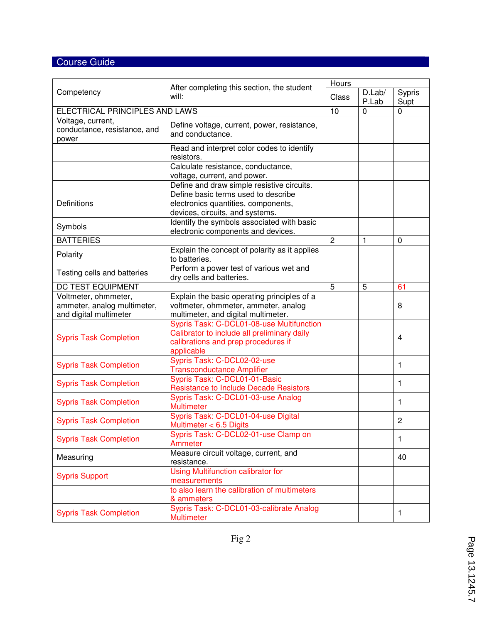# Course Guide

|                                |                                                                | Hours          |              |                |  |  |
|--------------------------------|----------------------------------------------------------------|----------------|--------------|----------------|--|--|
| Competency                     | After completing this section, the student<br>will:            | Class          | D.Lab/       | Sypris         |  |  |
|                                |                                                                |                | P.Lab        | Supt           |  |  |
| ELECTRICAL PRINCIPLES AND LAWS |                                                                | 10             | 0            | 0              |  |  |
| Voltage, current,              | Define voltage, current, power, resistance,                    |                |              |                |  |  |
| conductance, resistance, and   | and conductance.                                               |                |              |                |  |  |
| power                          |                                                                |                |              |                |  |  |
|                                | Read and interpret color codes to identify                     |                |              |                |  |  |
|                                | resistors.                                                     |                |              |                |  |  |
|                                | Calculate resistance, conductance,                             |                |              |                |  |  |
| voltage, current, and power.   |                                                                |                |              |                |  |  |
|                                | Define and draw simple resistive circuits.                     |                |              |                |  |  |
|                                | Define basic terms used to describe                            |                |              |                |  |  |
| Definitions                    | electronics quantities, components,                            |                |              |                |  |  |
|                                | devices, circuits, and systems.                                |                |              |                |  |  |
| Symbols                        | Identify the symbols associated with basic                     |                |              |                |  |  |
|                                | electronic components and devices.                             |                |              |                |  |  |
| <b>BATTERIES</b>               |                                                                | $\overline{2}$ | $\mathbf{1}$ | $\mathbf 0$    |  |  |
| Polarity                       | Explain the concept of polarity as it applies<br>to batteries. |                |              |                |  |  |
|                                | Perform a power test of various wet and                        |                |              |                |  |  |
| Testing cells and batteries    | dry cells and batteries.                                       |                |              |                |  |  |
| <b>DC TEST EQUIPMENT</b>       |                                                                | 5              | 5            | 61             |  |  |
| Voltmeter, ohmmeter,           | Explain the basic operating principles of a                    |                |              |                |  |  |
| ammeter, analog multimeter,    | voltmeter, ohmmeter, ammeter, analog                           |                |              | 8              |  |  |
| and digital multimeter         | multimeter, and digital multimeter.                            |                |              |                |  |  |
|                                | Sypris Task: C-DCL01-08-use Multifunction                      |                |              |                |  |  |
| <b>Sypris Task Completion</b>  | Calibrator to include all preliminary daily                    |                | 4            |                |  |  |
|                                | calibrations and prep procedures if                            |                |              |                |  |  |
|                                | applicable                                                     |                |              |                |  |  |
| <b>Sypris Task Completion</b>  | Sypris Task: C-DCL02-02-use                                    |                |              | 1              |  |  |
|                                | <b>Transconductance Amplifier</b>                              |                |              |                |  |  |
| <b>Sypris Task Completion</b>  | Sypris Task: C-DCL01-01-Basic                                  |                |              | 1              |  |  |
|                                | <b>Resistance to Include Decade Resistors</b>                  |                |              |                |  |  |
| <b>Sypris Task Completion</b>  | Sypris Task: C-DCL01-03-use Analog                             |                |              | 1              |  |  |
|                                | Multimeter                                                     |                |              |                |  |  |
| <b>Sypris Task Completion</b>  | Sypris Task: C-DCL01-04-use Digital                            |                |              | $\overline{c}$ |  |  |
|                                | Multimeter < 6.5 Digits                                        |                |              |                |  |  |
| <b>Sypris Task Completion</b>  | Sypris Task: C-DCL02-01-use Clamp on                           |                |              | 1              |  |  |
|                                | Ammeter                                                        |                |              |                |  |  |
| Measuring                      | Measure circuit voltage, current, and                          |                |              | 40             |  |  |
|                                | resistance.                                                    |                |              |                |  |  |
| <b>Sypris Support</b>          | <b>Using Multifunction calibrator for</b>                      |                |              |                |  |  |
|                                | measurements                                                   |                |              |                |  |  |
|                                | to also learn the calibration of multimeters                   |                |              |                |  |  |
|                                | & ammeters                                                     |                |              |                |  |  |
| <b>Sypris Task Completion</b>  | Sypris Task: C-DCL01-03-calibrate Analog                       |                |              | 1              |  |  |
|                                | <b>Multimeter</b>                                              |                |              |                |  |  |

Fig 2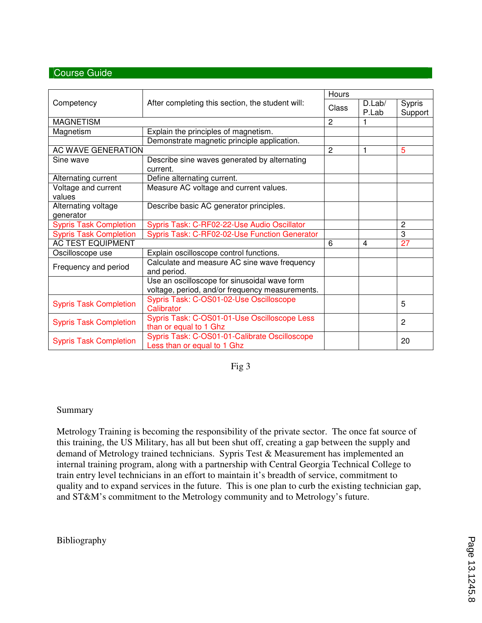## Course Guide

|                                  |                                                                                                 | Hours          |                 |                          |  |  |
|----------------------------------|-------------------------------------------------------------------------------------------------|----------------|-----------------|--------------------------|--|--|
| Competency                       | After completing this section, the student will:                                                |                | D.Lab/<br>P.Lab | <b>Sypris</b><br>Support |  |  |
| <b>MAGNETISM</b>                 |                                                                                                 | $\overline{2}$ |                 |                          |  |  |
| Magnetism                        | Explain the principles of magnetism.                                                            |                |                 |                          |  |  |
|                                  | Demonstrate magnetic principle application.                                                     |                |                 |                          |  |  |
| AC WAVE GENERATION               |                                                                                                 | $\overline{2}$ | 1               | 5                        |  |  |
| Sine wave                        | Describe sine waves generated by alternating<br>current.                                        |                |                 |                          |  |  |
| Alternating current              | Define alternating current.                                                                     |                |                 |                          |  |  |
| Voltage and current<br>values    | Measure AC voltage and current values.                                                          |                |                 |                          |  |  |
| Alternating voltage<br>generator | Describe basic AC generator principles.                                                         |                |                 |                          |  |  |
| <b>Sypris Task Completion</b>    | Sypris Task: C-RF02-22-Use Audio Oscillator                                                     |                |                 | $\overline{c}$           |  |  |
| <b>Sypris Task Completion</b>    | Sypris Task: C-RF02-02-Use Function Generator                                                   |                |                 | 3                        |  |  |
| <b>AC TEST EQUIPMENT</b>         |                                                                                                 | 6              | 4               | 27                       |  |  |
| Oscilloscope use                 | Explain oscilloscope control functions.                                                         |                |                 |                          |  |  |
| Frequency and period             | Calculate and measure AC sine wave frequency<br>and period.                                     |                |                 |                          |  |  |
|                                  | Use an oscilloscope for sinusoidal wave form<br>voltage, period, and/or frequency measurements. |                |                 |                          |  |  |
| <b>Sypris Task Completion</b>    | Sypris Task: C-OS01-02-Use Oscilloscope<br>Calibrator                                           |                |                 | 5                        |  |  |
| <b>Sypris Task Completion</b>    | Sypris Task: C-OS01-01-Use Oscilloscope Less<br>than or equal to 1 Ghz                          |                |                 | $\overline{2}$           |  |  |
| <b>Sypris Task Completion</b>    | Sypris Task: C-OS01-01-Calibrate Oscilloscope<br>Less than or equal to 1 Ghz                    |                |                 | 20                       |  |  |

Fig 3

#### Summary

Metrology Training is becoming the responsibility of the private sector. The once fat source of this training, the US Military, has all but been shut off, creating a gap between the supply and demand of Metrology trained technicians. Sypris Test & Measurement has implemented an internal training program, along with a partnership with Central Georgia Technical College to train entry level technicians in an effort to maintain it's breadth of service, commitment to quality and to expand services in the future. This is one plan to curb the existing technician gap, and ST&M's commitment to the Metrology community and to Metrology's future.

Bibliography